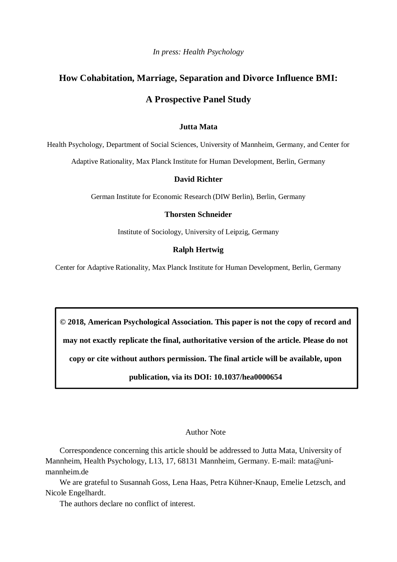*In press: Health Psychology*

# **How Cohabitation, Marriage, Separation and Divorce Influence BMI: A Prospective Panel Study**

## **Jutta Mata**

Health Psychology, Department of Social Sciences, University of Mannheim, Germany, and Center for

Adaptive Rationality, Max Planck Institute for Human Development, Berlin, Germany

# **David Richter**

German Institute for Economic Research (DIW Berlin), Berlin, Germany

## **Thorsten Schneider**

Institute of Sociology, University of Leipzig, Germany

# **Ralph Hertwig**

Center for Adaptive Rationality, Max Planck Institute for Human Development, Berlin, Germany

**© 2018, American Psychological Association. This paper is not the copy of record and may not exactly replicate the final, authoritative version of the article. Please do not copy or cite without authors permission. The final article will be available, upon publication, via its DOI: 10.1037/hea0000654**

## Author Note

Correspondence concerning this article should be addressed to Jutta Mata, University of Mannheim, Health Psychology, L13, 17, 68131 Mannheim, Germany. E-mail: mata@unimannheim.de

We are grateful to Susannah Goss, Lena Haas, Petra Kühner-Knaup, Emelie Letzsch, and Nicole Engelhardt.

The authors declare no conflict of interest.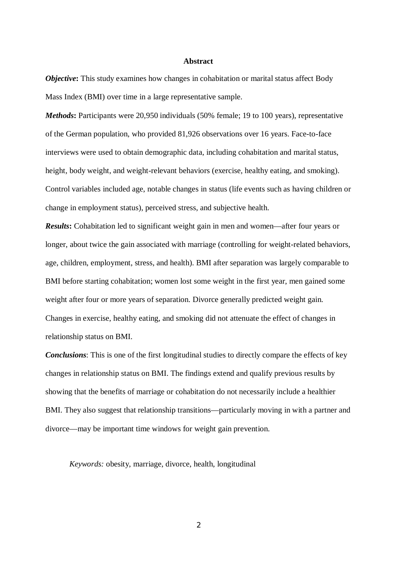#### **Abstract**

*Objective*: This study examines how changes in cohabitation or marital status affect Body Mass Index (BMI) over time in a large representative sample.

*Methods***:** Participants were 20,950 individuals (50% female; 19 to 100 years), representative of the German population, who provided 81,926 observations over 16 years. Face-to-face interviews were used to obtain demographic data, including cohabitation and marital status, height, body weight, and weight-relevant behaviors (exercise, healthy eating, and smoking). Control variables included age, notable changes in status (life events such as having children or change in employment status), perceived stress, and subjective health.

*Results***:** Cohabitation led to significant weight gain in men and women—after four years or longer, about twice the gain associated with marriage (controlling for weight-related behaviors, age, children, employment, stress, and health). BMI after separation was largely comparable to BMI before starting cohabitation; women lost some weight in the first year, men gained some weight after four or more years of separation. Divorce generally predicted weight gain. Changes in exercise, healthy eating, and smoking did not attenuate the effect of changes in relationship status on BMI.

*Conclusions*: This is one of the first longitudinal studies to directly compare the effects of key changes in relationship status on BMI. The findings extend and qualify previous results by showing that the benefits of marriage or cohabitation do not necessarily include a healthier BMI. They also suggest that relationship transitions—particularly moving in with a partner and divorce—may be important time windows for weight gain prevention.

*Keywords:* obesity, marriage, divorce, health, longitudinal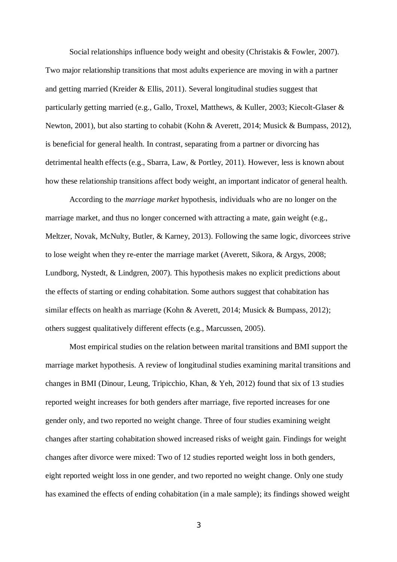Social relationships influence body weight and obesity (Christakis & Fowler, 2007). Two major relationship transitions that most adults experience are moving in with a partner and getting married (Kreider & Ellis, 2011). Several longitudinal studies suggest that particularly getting married (e.g., Gallo, Troxel, Matthews, & Kuller, 2003; Kiecolt-Glaser & Newton, 2001), but also starting to cohabit (Kohn & Averett, 2014; Musick & Bumpass, 2012), is beneficial for general health. In contrast, separating from a partner or divorcing has detrimental health effects (e.g., Sbarra, Law, & Portley, 2011). However, less is known about how these relationship transitions affect body weight, an important indicator of general health.

According to the *marriage market* hypothesis, individuals who are no longer on the marriage market, and thus no longer concerned with attracting a mate, gain weight (e.g., Meltzer, Novak, McNulty, Butler, & Karney, 2013). Following the same logic, divorcees strive to lose weight when they re-enter the marriage market (Averett, Sikora, & Argys, 2008; Lundborg, Nystedt, & Lindgren, 2007). This hypothesis makes no explicit predictions about the effects of starting or ending cohabitation. Some authors suggest that cohabitation has similar effects on health as marriage (Kohn & Averett, 2014; Musick & Bumpass, 2012); others suggest qualitatively different effects (e.g., Marcussen, 2005).

Most empirical studies on the relation between marital transitions and BMI support the marriage market hypothesis. A review of longitudinal studies examining marital transitions and changes in BMI (Dinour, Leung, Tripicchio, Khan, & Yeh, 2012) found that six of 13 studies reported weight increases for both genders after marriage, five reported increases for one gender only, and two reported no weight change. Three of four studies examining weight changes after starting cohabitation showed increased risks of weight gain. Findings for weight changes after divorce were mixed: Two of 12 studies reported weight loss in both genders, eight reported weight loss in one gender, and two reported no weight change. Only one study has examined the effects of ending cohabitation (in a male sample); its findings showed weight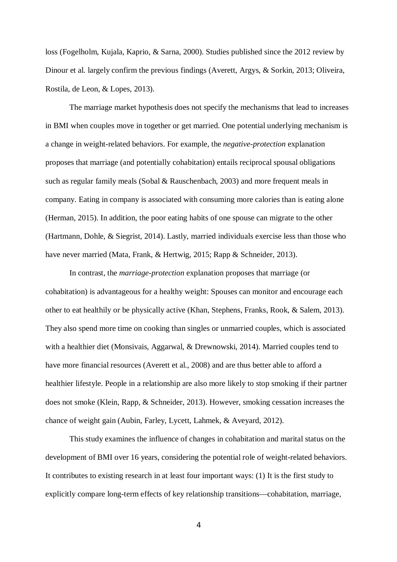loss (Fogelholm, Kujala, Kaprio, & Sarna, 2000). Studies published since the 2012 review by Dinour et al. largely confirm the previous findings (Averett, Argys, & Sorkin, 2013; Oliveira, Rostila, de Leon, & Lopes, 2013).

The marriage market hypothesis does not specify the mechanisms that lead to increases in BMI when couples move in together or get married. One potential underlying mechanism is a change in weight-related behaviors. For example, the *negative-protection* explanation proposes that marriage (and potentially cohabitation) entails reciprocal spousal obligations such as regular family meals (Sobal & Rauschenbach, 2003) and more frequent meals in company. Eating in company is associated with consuming more calories than is eating alone (Herman, 2015). In addition, the poor eating habits of one spouse can migrate to the other (Hartmann, Dohle, & Siegrist, 2014). Lastly, married individuals exercise less than those who have never married (Mata, Frank, & Hertwig, 2015; Rapp & Schneider, 2013).

In contrast, the *marriage-protection* explanation proposes that marriage (or cohabitation) is advantageous for a healthy weight: Spouses can monitor and encourage each other to eat healthily or be physically active (Khan, Stephens, Franks, Rook, & Salem, 2013). They also spend more time on cooking than singles or unmarried couples, which is associated with a healthier diet (Monsivais, Aggarwal, & Drewnowski, 2014). Married couples tend to have more financial resources (Averett et al., 2008) and are thus better able to afford a healthier lifestyle. People in a relationship are also more likely to stop smoking if their partner does not smoke (Klein, Rapp, & Schneider, 2013). However, smoking cessation increases the chance of weight gain (Aubin, Farley, Lycett, Lahmek, & Aveyard, 2012).

This study examines the influence of changes in cohabitation and marital status on the development of BMI over 16 years, considering the potential role of weight-related behaviors. It contributes to existing research in at least four important ways: (1) It is the first study to explicitly compare long-term effects of key relationship transitions—cohabitation, marriage,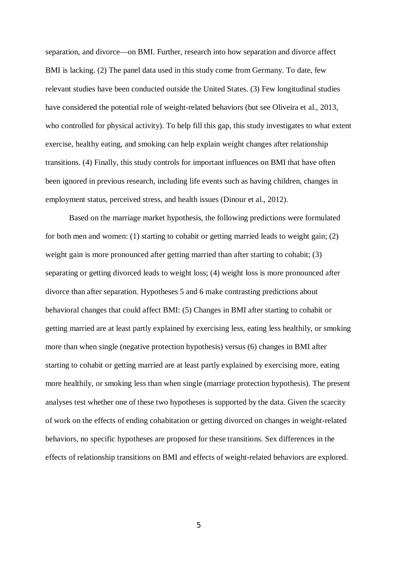separation, and divorce—on BMI. Further, research into how separation and divorce affect BMI is lacking. (2) The panel data used in this study come from Germany. To date, few relevant studies have been conducted outside the United States. (3) Few longitudinal studies have considered the potential role of weight-related behaviors (but see Oliveira et al., 2013, who controlled for physical activity). To help fill this gap, this study investigates to what extent exercise, healthy eating, and smoking can help explain weight changes after relationship transitions. (4) Finally, this study controls for important influences on BMI that have often been ignored in previous research, including life events such as having children, changes in employment status, perceived stress, and health issues (Dinour et al., 2012).

Based on the marriage market hypothesis, the following predictions were formulated for both men and women: (1) starting to cohabit or getting married leads to weight gain; (2) weight gain is more pronounced after getting married than after starting to cohabit; (3) separating or getting divorced leads to weight loss; (4) weight loss is more pronounced after divorce than after separation. Hypotheses 5 and 6 make contrasting predictions about behavioral changes that could affect BMI: (5) Changes in BMI after starting to cohabit or getting married are at least partly explained by exercising less, eating less healthily, or smoking more than when single (negative protection hypothesis) versus (6) changes in BMI after starting to cohabit or getting married are at least partly explained by exercising more, eating more healthily, or smoking less than when single (marriage protection hypothesis). The present analyses test whether one of these two hypotheses is supported by the data. Given the scarcity of work on the effects of ending cohabitation or getting divorced on changes in weight-related behaviors, no specific hypotheses are proposed for these transitions. Sex differences in the effects of relationship transitions on BMI and effects of weight-related behaviors are explored.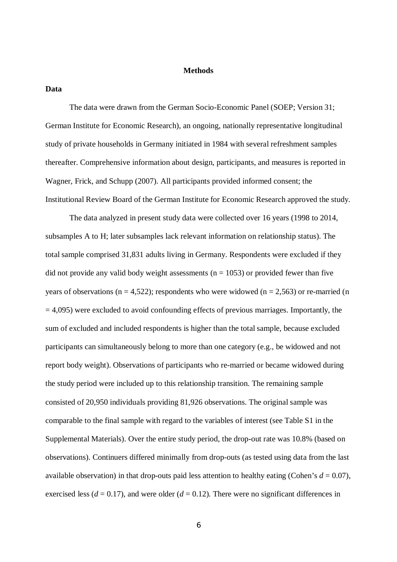#### **Methods**

## **Data**

The data were drawn from the German Socio-Economic Panel (SOEP; Version 31; German Institute for Economic Research), an ongoing, nationally representative longitudinal study of private households in Germany initiated in 1984 with several refreshment samples thereafter. Comprehensive information about design, participants, and measures is reported in Wagner, Frick, and Schupp (2007). All participants provided informed consent; the Institutional Review Board of the German Institute for Economic Research approved the study.

The data analyzed in present study data were collected over 16 years (1998 to 2014, subsamples A to H; later subsamples lack relevant information on relationship status). The total sample comprised 31,831 adults living in Germany. Respondents were excluded if they did not provide any valid body weight assessments ( $n = 1053$ ) or provided fewer than five years of observations ( $n = 4.522$ ); respondents who were widowed ( $n = 2.563$ ) or re-married (n  $= 4,095$ ) were excluded to avoid confounding effects of previous marriages. Importantly, the sum of excluded and included respondents is higher than the total sample, because excluded participants can simultaneously belong to more than one category (e.g., be widowed and not report body weight). Observations of participants who re-married or became widowed during the study period were included up to this relationship transition. The remaining sample consisted of 20,950 individuals providing 81,926 observations. The original sample was comparable to the final sample with regard to the variables of interest (see Table S1 in the Supplemental Materials). Over the entire study period, the drop-out rate was 10.8% (based on observations). Continuers differed minimally from drop-outs (as tested using data from the last available observation) in that drop-outs paid less attention to healthy eating (Cohen's  $d = 0.07$ ), exercised less ( $d = 0.17$ ), and were older ( $d = 0.12$ ). There were no significant differences in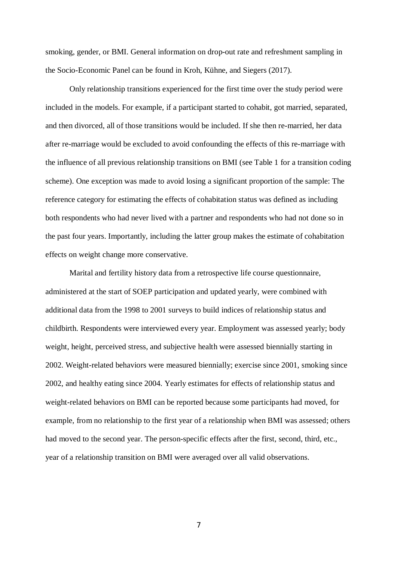smoking, gender, or BMI. General information on drop-out rate and refreshment sampling in the Socio-Economic Panel can be found in Kroh, Kühne, and Siegers (2017).

Only relationship transitions experienced for the first time over the study period were included in the models. For example, if a participant started to cohabit, got married, separated, and then divorced, all of those transitions would be included. If she then re-married, her data after re-marriage would be excluded to avoid confounding the effects of this re-marriage with the influence of all previous relationship transitions on BMI (see Table 1 for a transition coding scheme). One exception was made to avoid losing a significant proportion of the sample: The reference category for estimating the effects of cohabitation status was defined as including both respondents who had never lived with a partner and respondents who had not done so in the past four years. Importantly, including the latter group makes the estimate of cohabitation effects on weight change more conservative.

Marital and fertility history data from a retrospective life course questionnaire, administered at the start of SOEP participation and updated yearly, were combined with additional data from the 1998 to 2001 surveys to build indices of relationship status and childbirth. Respondents were interviewed every year. Employment was assessed yearly; body weight, height, perceived stress, and subjective health were assessed biennially starting in 2002. Weight-related behaviors were measured biennially; exercise since 2001, smoking since 2002, and healthy eating since 2004. Yearly estimates for effects of relationship status and weight-related behaviors on BMI can be reported because some participants had moved, for example, from no relationship to the first year of a relationship when BMI was assessed; others had moved to the second year. The person-specific effects after the first, second, third, etc., year of a relationship transition on BMI were averaged over all valid observations.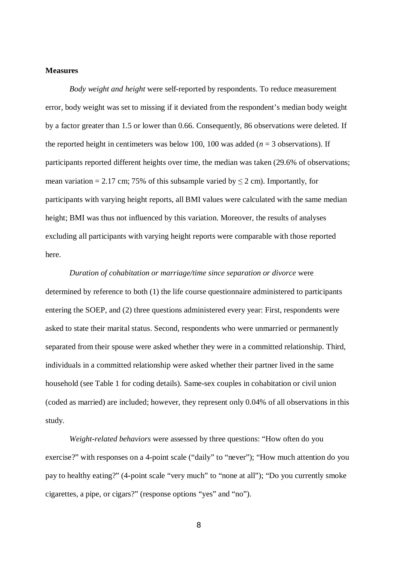# **Measures**

*Body weight and height* were self-reported by respondents. To reduce measurement error, body weight was set to missing if it deviated from the respondent's median body weight by a factor greater than 1.5 or lower than 0.66. Consequently, 86 observations were deleted. If the reported height in centimeters was below 100, 100 was added ( $n = 3$  observations). If participants reported different heights over time, the median was taken (29.6% of observations; mean variation = 2.17 cm; 75% of this subsample varied by  $\leq$  2 cm). Importantly, for participants with varying height reports, all BMI values were calculated with the same median height; BMI was thus not influenced by this variation. Moreover, the results of analyses excluding all participants with varying height reports were comparable with those reported here.

*Duration of cohabitation or marriage/time since separation or divorce* were determined by reference to both (1) the life course questionnaire administered to participants entering the SOEP, and (2) three questions administered every year: First, respondents were asked to state their marital status. Second, respondents who were unmarried or permanently separated from their spouse were asked whether they were in a committed relationship. Third, individuals in a committed relationship were asked whether their partner lived in the same household (see Table 1 for coding details). Same-sex couples in cohabitation or civil union (coded as married) are included; however, they represent only 0.04% of all observations in this study.

*Weight-related behaviors* were assessed by three questions: "How often do you exercise?" with responses on a 4-point scale ("daily" to "never"); "How much attention do you pay to healthy eating?" (4-point scale "very much" to "none at all"); "Do you currently smoke cigarettes, a pipe, or cigars?" (response options "yes" and "no").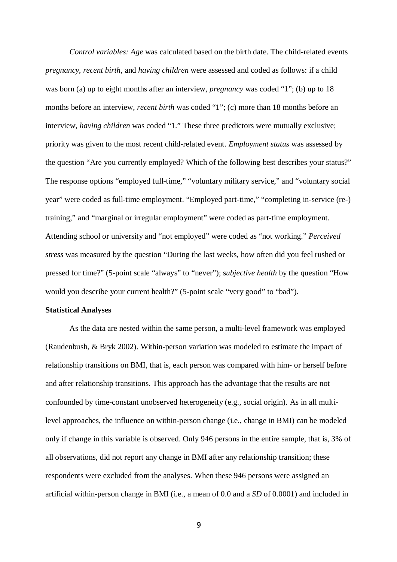*Control variables: Age* was calculated based on the birth date. The child-related events *pregnancy*, *recent birth*, and *having children* were assessed and coded as follows: if a child was born (a) up to eight months after an interview, *pregnancy* was coded "1"; (b) up to 18 months before an interview, *recent birth* was coded "1"; (c) more than 18 months before an interview, *having children* was coded "1." These three predictors were mutually exclusive; priority was given to the most recent child-related event. *Employment status* was assessed by the question "Are you currently employed? Which of the following best describes your status?" The response options "employed full-time," "voluntary military service," and "voluntary social year" were coded as full-time employment. "Employed part-time," "completing in-service (re-) training," and "marginal or irregular employment" were coded as part-time employment. Attending school or university and "not employed" were coded as "not working." *Perceived stress* was measured by the question "During the last weeks, how often did you feel rushed or pressed for time?" (5-point scale "always" to "never"); s*ubjective health* by the question "How would you describe your current health?" (5-point scale "very good" to "bad").

# **Statistical Analyses**

As the data are nested within the same person, a multi-level framework was employed (Raudenbush, & Bryk 2002). Within-person variation was modeled to estimate the impact of relationship transitions on BMI, that is, each person was compared with him- or herself before and after relationship transitions. This approach has the advantage that the results are not confounded by time-constant unobserved heterogeneity (e.g., social origin). As in all multilevel approaches, the influence on within-person change (i.e., change in BMI) can be modeled only if change in this variable is observed. Only 946 persons in the entire sample, that is, 3% of all observations, did not report any change in BMI after any relationship transition; these respondents were excluded from the analyses. When these 946 persons were assigned an artificial within-person change in BMI (i.e., a mean of 0.0 and a *SD* of 0.0001) and included in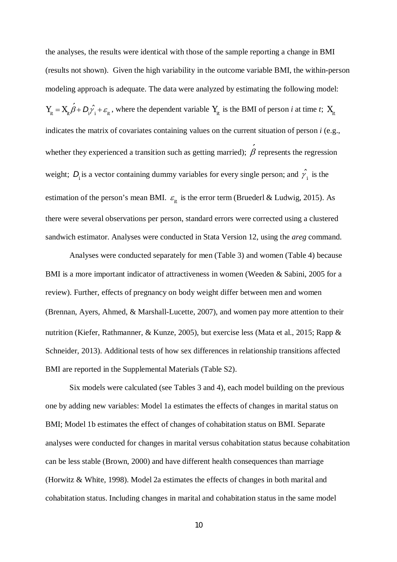the analyses, the results were identical with those of the sample reporting a change in BMI (results not shown). Given the high variability in the outcome variable BMI, the within-person modeling approach is adequate. The data were analyzed by estimating the following model:  $Y_{it} = X_{it} \hat{\beta} + D_i \hat{\gamma}_i + \varepsilon_{it}$ , where the dependent variable  $Y_{it}$  is the BMI of person *i* at time *t*;  $X_{it}$ indicates the matrix of covariates containing values on the current situation of person *i* (e.g., whether they experienced a transition such as getting married);  $\hat{\beta}$  represents the regression weight;  $D_i$  is a vector containing dummy variables for every single person; and  $\hat{\gamma}_i$  is the estimation of the person's mean BMI.  $\varepsilon$ <sub>it</sub> is the error term (Bruederl & Ludwig, 2015). As there were several observations per person, standard errors were corrected using a clustered sandwich estimator. Analyses were conducted in Stata Version 12, using the *areg* command.

Analyses were conducted separately for men (Table 3) and women (Table 4) because BMI is a more important indicator of attractiveness in women (Weeden & Sabini, 2005 for a review). Further, effects of pregnancy on body weight differ between men and women (Brennan, Ayers, Ahmed, & Marshall-Lucette, 2007), and women pay more attention to their nutrition (Kiefer, Rathmanner, & Kunze, 2005), but exercise less (Mata et al., 2015; Rapp & Schneider, 2013). Additional tests of how sex differences in relationship transitions affected BMI are reported in the Supplemental Materials (Table S2).

Six models were calculated (see Tables 3 and 4), each model building on the previous one by adding new variables: Model 1a estimates the effects of changes in marital status on BMI; Model 1b estimates the effect of changes of cohabitation status on BMI. Separate analyses were conducted for changes in marital versus cohabitation status because cohabitation can be less stable (Brown, 2000) and have different health consequences than marriage (Horwitz & White, 1998). Model 2a estimates the effects of changes in both marital and cohabitation status. Including changes in marital and cohabitation status in the same model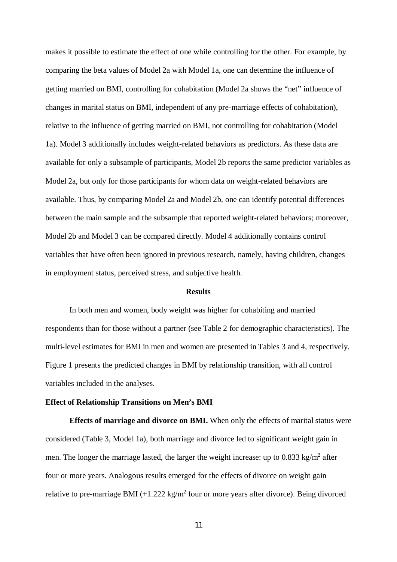makes it possible to estimate the effect of one while controlling for the other. For example, by comparing the beta values of Model 2a with Model 1a, one can determine the influence of getting married on BMI, controlling for cohabitation (Model 2a shows the "net" influence of changes in marital status on BMI, independent of any pre-marriage effects of cohabitation), relative to the influence of getting married on BMI, not controlling for cohabitation (Model 1a). Model 3 additionally includes weight-related behaviors as predictors. As these data are available for only a subsample of participants, Model 2b reports the same predictor variables as Model 2a, but only for those participants for whom data on weight-related behaviors are available. Thus, by comparing Model 2a and Model 2b, one can identify potential differences between the main sample and the subsample that reported weight-related behaviors; moreover, Model 2b and Model 3 can be compared directly. Model 4 additionally contains control variables that have often been ignored in previous research, namely, having children, changes in employment status, perceived stress, and subjective health.

## **Results**

In both men and women, body weight was higher for cohabiting and married respondents than for those without a partner (see Table 2 for demographic characteristics). The multi-level estimates for BMI in men and women are presented in Tables 3 and 4, respectively. Figure 1 presents the predicted changes in BMI by relationship transition, with all control variables included in the analyses.

#### **Effect of Relationship Transitions on Men's BMI**

**Effects of marriage and divorce on BMI.** When only the effects of marital status were considered (Table 3, Model 1a), both marriage and divorce led to significant weight gain in men. The longer the marriage lasted, the larger the weight increase: up to  $0.833 \text{ kg/m}^2$  after four or more years. Analogous results emerged for the effects of divorce on weight gain relative to pre-marriage BMI  $(+1.222 \text{ kg/m}^2$  four or more years after divorce). Being divorced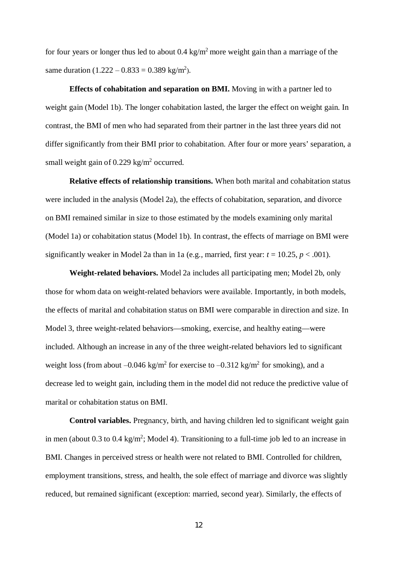for four years or longer thus led to about  $0.4 \text{ kg/m}^2$  more weight gain than a marriage of the same duration  $(1.222 - 0.833 = 0.389 \text{ kg/m}^2)$ .

**Effects of cohabitation and separation on BMI.** Moving in with a partner led to weight gain (Model 1b). The longer cohabitation lasted, the larger the effect on weight gain. In contrast, the BMI of men who had separated from their partner in the last three years did not differ significantly from their BMI prior to cohabitation. After four or more years' separation, a small weight gain of  $0.229 \text{ kg/m}^2$  occurred.

**Relative effects of relationship transitions.** When both marital and cohabitation status were included in the analysis (Model 2a), the effects of cohabitation, separation, and divorce on BMI remained similar in size to those estimated by the models examining only marital (Model 1a) or cohabitation status (Model 1b). In contrast, the effects of marriage on BMI were significantly weaker in Model 2a than in 1a (e.g., married, first year:  $t = 10.25$ ,  $p < .001$ ).

**Weight-related behaviors.** Model 2a includes all participating men; Model 2b, only those for whom data on weight-related behaviors were available. Importantly, in both models, the effects of marital and cohabitation status on BMI were comparable in direction and size. In Model 3, three weight-related behaviors—smoking, exercise, and healthy eating—were included. Although an increase in any of the three weight-related behaviors led to significant weight loss (from about  $-0.046$  kg/m<sup>2</sup> for exercise to  $-0.312$  kg/m<sup>2</sup> for smoking), and a decrease led to weight gain, including them in the model did not reduce the predictive value of marital or cohabitation status on BMI.

**Control variables.** Pregnancy, birth, and having children led to significant weight gain in men (about 0.3 to 0.4 kg/m<sup>2</sup>; Model 4). Transitioning to a full-time job led to an increase in BMI. Changes in perceived stress or health were not related to BMI. Controlled for children, employment transitions, stress, and health, the sole effect of marriage and divorce was slightly reduced, but remained significant (exception: married, second year). Similarly, the effects of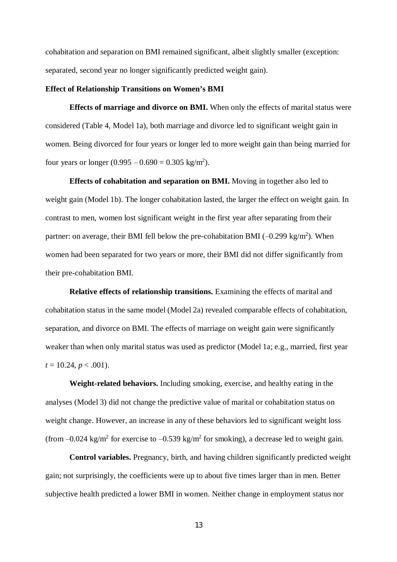cohabitation and separation on BMI remained significant, albeit slightly smaller (exception: separated, second year no longer significantly predicted weight gain).

#### **Effect of Relationship Transitions on Women's BMI**

**Effects of marriage and divorce on BMI.** When only the effects of marital status were considered (Table 4, Model 1a), both marriage and divorce led to significant weight gain in women. Being divorced for four years or longer led to more weight gain than being married for four years or longer  $(0.995 - 0.690 = 0.305 \text{ kg/m}^2)$ .

**Effects of cohabitation and separation on BMI.** Moving in together also led to weight gain (Model 1b). The longer cohabitation lasted, the larger the effect on weight gain. In contrast to men, women lost significant weight in the first year after separating from their partner: on average, their BMI fell below the pre-cohabitation BMI  $(-0.299 \text{ kg/m}^2)$ . When women had been separated for two years or more, their BMI did not differ significantly from their pre-cohabitation BMI.

**Relative effects of relationship transitions.** Examining the effects of marital and cohabitation status in the same model (Model 2a) revealed comparable effects of cohabitation, separation, and divorce on BMI. The effects of marriage on weight gain were significantly weaker than when only marital status was used as predictor (Model 1a; e.g., married, first year  $t = 10.24, p < .001$ .

**Weight-related behaviors.** Including smoking, exercise, and healthy eating in the analyses (Model 3) did not change the predictive value of marital or cohabitation status on weight change. However, an increase in any of these behaviors led to significant weight loss (from  $-0.024 \text{ kg/m}^2$  for exercise to  $-0.539 \text{ kg/m}^2$  for smoking), a decrease led to weight gain.

**Control variables.** Pregnancy, birth, and having children significantly predicted weight gain; not surprisingly, the coefficients were up to about five times larger than in men. Better subjective health predicted a lower BMI in women. Neither change in employment status nor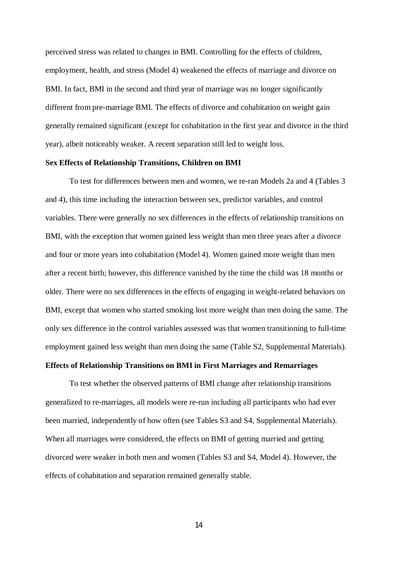perceived stress was related to changes in BMI. Controlling for the effects of children, employment, health, and stress (Model 4) weakened the effects of marriage and divorce on BMI. In fact, BMI in the second and third year of marriage was no longer significantly different from pre-marriage BMI. The effects of divorce and cohabitation on weight gain generally remained significant (except for cohabitation in the first year and divorce in the third year), albeit noticeably weaker. A recent separation still led to weight loss.

### **Sex Effects of Relationship Transitions, Children on BMI**

To test for differences between men and women, we re-ran Models 2a and 4 (Tables 3 and 4), this time including the interaction between sex, predictor variables, and control variables. There were generally no sex differences in the effects of relationship transitions on BMI, with the exception that women gained less weight than men three years after a divorce and four or more years into cohabitation (Model 4). Women gained more weight than men after a recent birth; however, this difference vanished by the time the child was 18 months or older. There were no sex differences in the effects of engaging in weight-related behaviors on BMI, except that women who started smoking lost more weight than men doing the same. The only sex difference in the control variables assessed was that women transitioning to full-time employment gained less weight than men doing the same (Table S2, Supplemental Materials).

# **Effects of Relationship Transitions on BMI in First Marriages and Remarriages**

To test whether the observed patterns of BMI change after relationship transitions generalized to re-marriages, all models were re-run including all participants who had ever been married, independently of how often (see Tables S3 and S4, Supplemental Materials). When all marriages were considered, the effects on BMI of getting married and getting divorced were weaker in both men and women (Tables S3 and S4, Model 4). However, the effects of cohabitation and separation remained generally stable.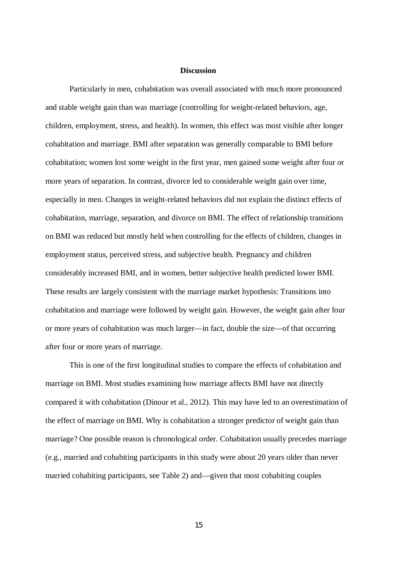## **Discussion**

Particularly in men, cohabitation was overall associated with much more pronounced and stable weight gain than was marriage (controlling for weight-related behaviors, age, children, employment, stress, and health). In women, this effect was most visible after longer cohabitation and marriage. BMI after separation was generally comparable to BMI before cohabitation; women lost some weight in the first year, men gained some weight after four or more years of separation. In contrast, divorce led to considerable weight gain over time, especially in men. Changes in weight-related behaviors did not explain the distinct effects of cohabitation, marriage, separation, and divorce on BMI. The effect of relationship transitions on BMI was reduced but mostly held when controlling for the effects of children, changes in employment status, perceived stress, and subjective health. Pregnancy and children considerably increased BMI, and in women, better subjective health predicted lower BMI. These results are largely consistent with the marriage market hypothesis: Transitions into cohabitation and marriage were followed by weight gain. However, the weight gain after four or more years of cohabitation was much larger—in fact, double the size—of that occurring after four or more years of marriage.

This is one of the first longitudinal studies to compare the effects of cohabitation and marriage on BMI. Most studies examining how marriage affects BMI have not directly compared it with cohabitation (Dinour et al., 2012). This may have led to an overestimation of the effect of marriage on BMI. Why is cohabitation a stronger predictor of weight gain than marriage? One possible reason is chronological order. Cohabitation usually precedes marriage (e.g., married and cohabiting participants in this study were about 20 years older than never married cohabiting participants, see Table 2) and—given that most cohabiting couples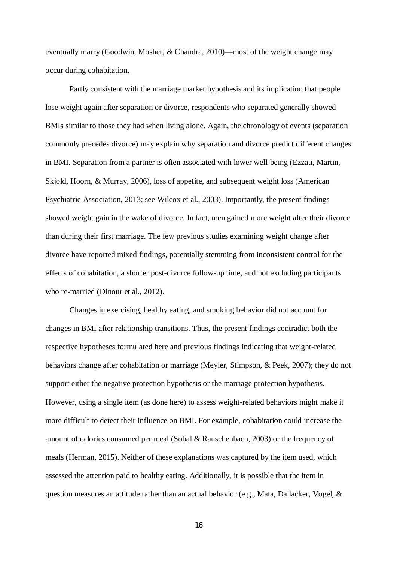eventually marry (Goodwin, Mosher, & Chandra, 2010)—most of the weight change may occur during cohabitation.

Partly consistent with the marriage market hypothesis and its implication that people lose weight again after separation or divorce, respondents who separated generally showed BMIs similar to those they had when living alone. Again, the chronology of events (separation commonly precedes divorce) may explain why separation and divorce predict different changes in BMI. Separation from a partner is often associated with lower well-being (Ezzati, Martin, Skjold, Hoorn, & Murray, 2006), loss of appetite, and subsequent weight loss (American Psychiatric Association, 2013; see Wilcox et al., 2003). Importantly, the present findings showed weight gain in the wake of divorce. In fact, men gained more weight after their divorce than during their first marriage. The few previous studies examining weight change after divorce have reported mixed findings, potentially stemming from inconsistent control for the effects of cohabitation, a shorter post-divorce follow-up time, and not excluding participants who re-married (Dinour et al., 2012).

Changes in exercising, healthy eating, and smoking behavior did not account for changes in BMI after relationship transitions. Thus, the present findings contradict both the respective hypotheses formulated here and previous findings indicating that weight-related behaviors change after cohabitation or marriage (Meyler, Stimpson, & Peek, 2007); they do not support either the negative protection hypothesis or the marriage protection hypothesis. However, using a single item (as done here) to assess weight-related behaviors might make it more difficult to detect their influence on BMI. For example, cohabitation could increase the amount of calories consumed per meal (Sobal & Rauschenbach, 2003) or the frequency of meals (Herman, 2015). Neither of these explanations was captured by the item used, which assessed the attention paid to healthy eating. Additionally, it is possible that the item in question measures an attitude rather than an actual behavior (e.g., Mata, Dallacker, Vogel, &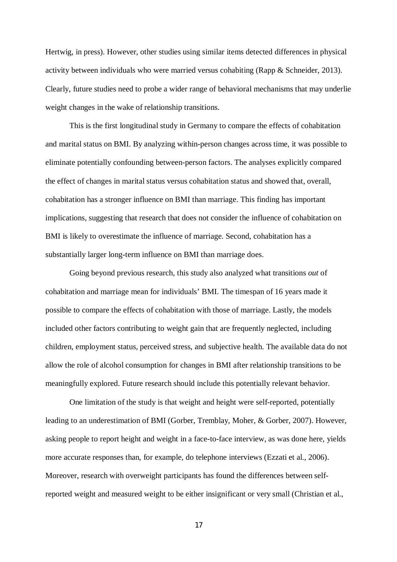Hertwig, in press). However, other studies using similar items detected differences in physical activity between individuals who were married versus cohabiting (Rapp & Schneider, 2013). Clearly, future studies need to probe a wider range of behavioral mechanisms that may underlie weight changes in the wake of relationship transitions.

This is the first longitudinal study in Germany to compare the effects of cohabitation and marital status on BMI. By analyzing within-person changes across time, it was possible to eliminate potentially confounding between-person factors. The analyses explicitly compared the effect of changes in marital status versus cohabitation status and showed that, overall, cohabitation has a stronger influence on BMI than marriage. This finding has important implications, suggesting that research that does not consider the influence of cohabitation on BMI is likely to overestimate the influence of marriage. Second, cohabitation has a substantially larger long-term influence on BMI than marriage does.

Going beyond previous research, this study also analyzed what transitions *out* of cohabitation and marriage mean for individuals' BMI. The timespan of 16 years made it possible to compare the effects of cohabitation with those of marriage. Lastly, the models included other factors contributing to weight gain that are frequently neglected, including children, employment status, perceived stress, and subjective health. The available data do not allow the role of alcohol consumption for changes in BMI after relationship transitions to be meaningfully explored. Future research should include this potentially relevant behavior.

One limitation of the study is that weight and height were self-reported, potentially leading to an underestimation of BMI (Gorber, Tremblay, Moher, & Gorber, 2007). However, asking people to report height and weight in a face-to-face interview, as was done here, yields more accurate responses than, for example, do telephone interviews (Ezzati et al., 2006). Moreover, research with overweight participants has found the differences between selfreported weight and measured weight to be either insignificant or very small (Christian et al.,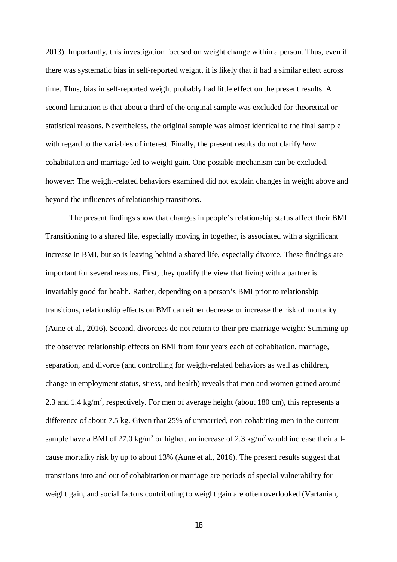2013). Importantly, this investigation focused on weight change within a person. Thus, even if there was systematic bias in self-reported weight, it is likely that it had a similar effect across time. Thus, bias in self-reported weight probably had little effect on the present results. A second limitation is that about a third of the original sample was excluded for theoretical or statistical reasons. Nevertheless, the original sample was almost identical to the final sample with regard to the variables of interest. Finally, the present results do not clarify *how* cohabitation and marriage led to weight gain. One possible mechanism can be excluded, however: The weight-related behaviors examined did not explain changes in weight above and beyond the influences of relationship transitions.

The present findings show that changes in people's relationship status affect their BMI. Transitioning to a shared life, especially moving in together, is associated with a significant increase in BMI, but so is leaving behind a shared life, especially divorce. These findings are important for several reasons. First, they qualify the view that living with a partner is invariably good for health. Rather, depending on a person's BMI prior to relationship transitions, relationship effects on BMI can either decrease or increase the risk of mortality (Aune et al., 2016). Second, divorcees do not return to their pre-marriage weight: Summing up the observed relationship effects on BMI from four years each of cohabitation, marriage, separation, and divorce (and controlling for weight-related behaviors as well as children, change in employment status, stress, and health) reveals that men and women gained around 2.3 and 1.4 kg/m<sup>2</sup>, respectively. For men of average height (about 180 cm), this represents a difference of about 7.5 kg. Given that 25% of unmarried, non-cohabiting men in the current sample have a BMI of 27.0 kg/m<sup>2</sup> or higher, an increase of 2.3 kg/m<sup>2</sup> would increase their allcause mortality risk by up to about 13% (Aune et al., 2016). The present results suggest that transitions into and out of cohabitation or marriage are periods of special vulnerability for weight gain, and social factors contributing to weight gain are often overlooked (Vartanian,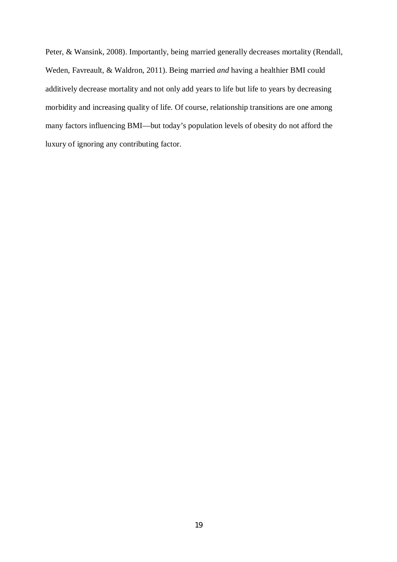Peter, & Wansink, 2008). Importantly, being married generally decreases mortality (Rendall, Weden, Favreault, & Waldron, 2011). Being married *and* having a healthier BMI could additively decrease mortality and not only add years to life but life to years by decreasing morbidity and increasing quality of life. Of course, relationship transitions are one among many factors influencing BMI—but today's population levels of obesity do not afford the luxury of ignoring any contributing factor.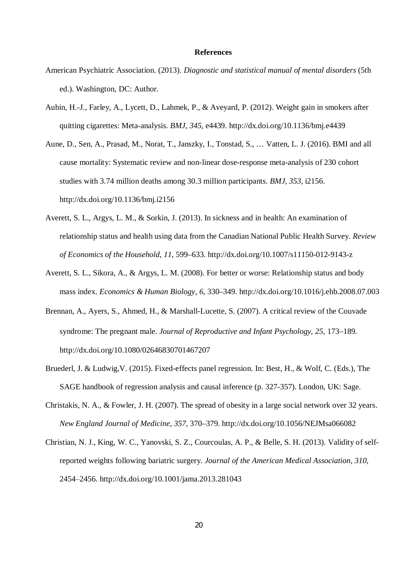#### **References**

- American Psychiatric Association. (2013). *Diagnostic and statistical manual of mental disorders* (5th ed.). Washington, DC: Author.
- Aubin, H.-J., Farley, A., Lycett, D., Lahmek, P., & Aveyard, P. (2012). Weight gain in smokers after quitting cigarettes: Meta-analysis. *BMJ*, *345*, e4439. http://dx.doi.org/10.1136/bmj.e4439
- Aune, D., Sen, A., Prasad, M., Norat, T., Janszky, I., Tonstad, S., … Vatten, L. J. (2016). BMI and all cause mortality: Systematic review and non-linear dose-response meta-analysis of 230 cohort studies with 3.74 million deaths among 30.3 million participants. *BMJ*, *353*, i2156. http://dx.doi.org/10.1136/bmj.i2156
- Averett, S. L., Argys, L. M., & Sorkin, J. (2013). In sickness and in health: An examination of relationship status and health using data from the Canadian National Public Health Survey. *Review of Economics of the Household*, *11*, 599–633. http://dx.doi.org/10.1007/s11150-012-9143-z
- Averett, S. L., Sikora, A., & Argys, L. M. (2008). For better or worse: Relationship status and body mass index. *Economics & Human Biology*, *6*, 330–349. http://dx.doi.org/10.1016/j.ehb.2008.07.003
- Brennan, A., Ayers, S., Ahmed, H., & Marshall-Lucette, S. (2007). A critical review of the Couvade syndrome: The pregnant male. *Journal of Reproductive and Infant Psychology*, *25*, 173–189. http://dx.doi.org/10.1080/02646830701467207
- Bruederl, J. & Ludwig,V. (2015). Fixed-effects panel regression. In: Best, H., & Wolf, C. (Eds.), The SAGE handbook of regression analysis and causal inference (p. 327-357). London, UK: Sage.
- Christakis, N. A., & Fowler, J. H. (2007). The spread of obesity in a large social network over 32 years. *New England Journal of Medicine*, *357*, 370–379. http://dx.doi.org/10.1056/NEJMsa066082
- Christian, N. J., King, W. C., Yanovski, S. Z., Courcoulas, A. P., & Belle, S. H. (2013). Validity of selfreported weights following bariatric surgery. *Journal of the American Medical Association, 310,* 2454‒2456. http://dx.doi.org/10.1001/jama.2013.281043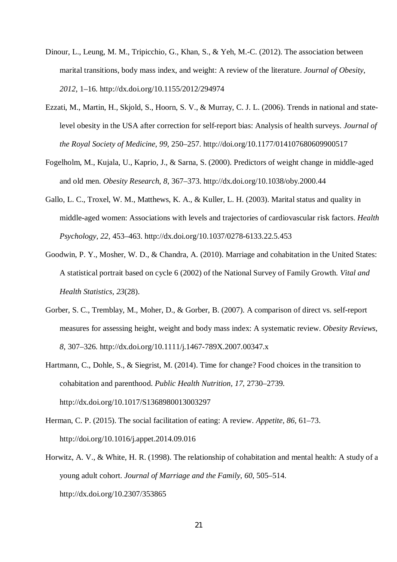- Dinour, L., Leung, M. M., Tripicchio, G., Khan, S., & Yeh, M.-C. (2012). The association between marital transitions, body mass index, and weight: A review of the literature. *Journal of Obesity*, *2012*, 1–16. http://dx.doi.org/10.1155/2012/294974
- Ezzati, M., Martin, H., Skjold, S., Hoorn, S. V., & Murray, C. J. L. (2006). Trends in national and statelevel obesity in the USA after correction for self-report bias: Analysis of health surveys. *Journal of the Royal Society of Medicine*, *99*, 250–257. http://doi.org/10.1177/014107680609900517
- Fogelholm, M., Kujala, U., Kaprio, J., & Sarna, S. (2000). Predictors of weight change in middle-aged and old men. *Obesity Research*, *8*, 367–373. http://dx.doi.org/10.1038/oby.2000.44
- Gallo, L. C., Troxel, W. M., Matthews, K. A., & Kuller, L. H. (2003). Marital status and quality in middle-aged women: Associations with levels and trajectories of cardiovascular risk factors. *Health Psychology, 22,* 453–463. http://dx.doi.org/10.1037/0278-6133.22.5.453
- Goodwin, P. Y., Mosher, W. D., & Chandra, A. (2010). Marriage and cohabitation in the United States: A statistical portrait based on cycle 6 (2002) of the National Survey of Family Growth. *Vital and Health Statistics, 23*(28).
- Gorber, S. C., Tremblay, M., Moher, D., & Gorber, B. (2007). A comparison of direct vs. self-report measures for assessing height, weight and body mass index: A systematic review. *Obesity Reviews*, *8*, 307–326. http://dx.doi.org/10.1111/j.1467-789X.2007.00347.x
- Hartmann, C., Dohle, S., & Siegrist, M. (2014). Time for change? Food choices in the transition to cohabitation and parenthood. *Public Health Nutrition, 17,* 2730–2739. http://dx.doi.org/10.1017/S1368980013003297
- Herman, C. P. (2015). The social facilitation of eating: A review. *Appetite, 86,* 61–73. http://doi.org/10.1016/j.appet.2014.09.016
- Horwitz, A. V., & White, H. R. (1998). The relationship of cohabitation and mental health: A study of a young adult cohort. *Journal of Marriage and the Family*, *60*, 505–514. http://dx.doi.org/10.2307/353865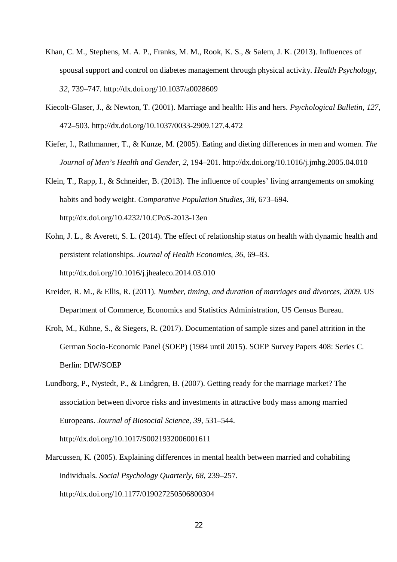- Khan, C. M., Stephens, M. A. P., Franks, M. M., Rook, K. S., & Salem, J. K. (2013). Influences of spousal support and control on diabetes management through physical activity. *Health Psychology*, *32*, 739–747. http://dx.doi.org/10.1037/a0028609
- Kiecolt-Glaser, J., & Newton, T. (2001). Marriage and health: His and hers. *Psychological Bulletin*, *127*, 472–503. http://dx.doi.org/10.1037/0033-2909.127.4.472
- Kiefer, I., Rathmanner, T., & Kunze, M. (2005). Eating and dieting differences in men and women. *The Journal of Men's Health and Gender*, *2*, 194–201. http://dx.doi.org/10.1016/j.jmhg.2005.04.010
- Klein, T., Rapp, I., & Schneider, B. (2013). The influence of couples' living arrangements on smoking habits and body weight. *Comparative Population Studies*, *38*, 673–694. http://dx.doi.org/10.4232/10.CPoS-2013-13en
- Kohn, J. L., & Averett, S. L. (2014). The effect of relationship status on health with dynamic health and persistent relationships. *Journal of Health Economics*, *36*, 69–83. http://dx.doi.org/10.1016/j.jhealeco.2014.03.010
- Kreider, R. M., & Ellis, R. (2011). *Number, timing, and duration of marriages and divorces, 2009*. US Department of Commerce, Economics and Statistics Administration, US Census Bureau.
- Kroh, M., Kühne, S., & Siegers, R. (2017). Documentation of sample sizes and panel attrition in the German Socio-Economic Panel (SOEP) (1984 until 2015). SOEP Survey Papers 408: Series C. Berlin: DIW/SOEP
- Lundborg, P., Nystedt, P., & Lindgren, B. (2007). Getting ready for the marriage market? The association between divorce risks and investments in attractive body mass among married Europeans. *Journal of Biosocial Science*, *39*, 531–544.

http://dx.doi.org/10.1017/S0021932006001611

Marcussen, K. (2005). Explaining differences in mental health between married and cohabiting individuals. *Social Psychology Quarterly*, *68*, 239–257. http://dx.doi.org/10.1177/019027250506800304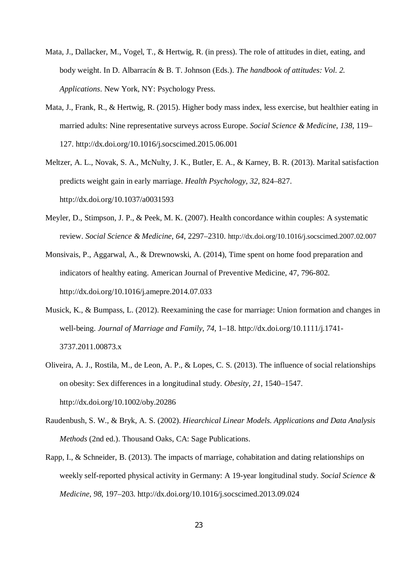- Mata, J., Dallacker, M., Vogel, T., & Hertwig, R. (in press). The role of attitudes in diet, eating, and body weight. In D. Albarracín & B. T. Johnson (Eds.). *The handbook of attitudes: Vol. 2. Applications*. New York, NY: Psychology Press.
- Mata, J., Frank, R., & Hertwig, R. (2015). Higher body mass index, less exercise, but healthier eating in married adults: Nine representative surveys across Europe. *Social Science & Medicine*, *138*, 119– 127. http://dx.doi.org/10.1016/j.socscimed.2015.06.001
- Meltzer, A. L., Novak, S. A., McNulty, J. K., Butler, E. A., & Karney, B. R. (2013). Marital satisfaction predicts weight gain in early marriage. *Health Psychology, 32*, 824–827. http://dx.doi.org/10.1037/a0031593
- Meyler, D., Stimpson, J. P., & Peek, M. K. (2007). Health concordance within couples: A systematic review. *Social Science & Medicine*, *64*, 2297–2310. http://dx.doi.org/10.1016/j.socscimed.2007.02.007
- Monsivais, P., Aggarwal, A., & Drewnowski, A. (2014), Time spent on home food preparation and indicators of healthy eating. American Journal of Preventive Medicine, 47, 796-802. http://dx.doi.org/10.1016/j.amepre.2014.07.033
- Musick, K., & Bumpass, L. (2012). Reexamining the case for marriage: Union formation and changes in well-being. *Journal of Marriage and Family*, *74*, 1–18. http://dx.doi.org/10.1111/j.1741- 3737.2011.00873.x
- Oliveira, A. J., Rostila, M., de Leon, A. P., & Lopes, C. S. (2013). The influence of social relationships on obesity: Sex differences in a longitudinal study. *Obesity*, *21*, 1540–1547. http://dx.doi.org/10.1002/oby.20286
- Raudenbush, S. W., & Bryk, A. S. (2002). *Hiearchical Linear Models. Applications and Data Analysis Methods* (2nd ed.). Thousand Oaks, CA: Sage Publications.
- Rapp, I., & Schneider, B. (2013). The impacts of marriage, cohabitation and dating relationships on weekly self-reported physical activity in Germany: A 19-year longitudinal study. *Social Science & Medicine*, *98*, 197–203. http://dx.doi.org/10.1016/j.socscimed.2013.09.024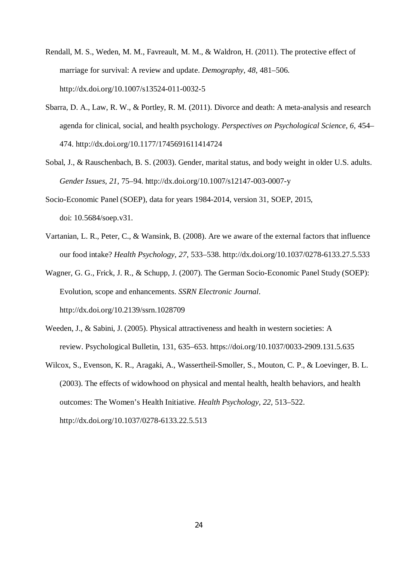- Rendall, M. S., Weden, M. M., Favreault, M. M., & Waldron, H. (2011). The protective effect of marriage for survival: A review and update. *Demography*, *48*, 481–506. http://dx.doi.org/10.1007/s13524-011-0032-5
- Sbarra, D. A., Law, R. W., & Portley, R. M. (2011). Divorce and death: A meta-analysis and research agenda for clinical, social, and health psychology. *Perspectives on Psychological Science, 6,* 454– 474. http://dx.doi.org/10.1177/1745691611414724
- Sobal, J., & Rauschenbach, B. S. (2003). Gender, marital status, and body weight in older U.S. adults. *Gender Issues*, *21*, 75–94. http://dx.doi.org/10.1007/s12147-003-0007-y
- Socio-Economic Panel (SOEP), data for years 1984-2014, version 31, SOEP, 2015, doi: 10.5684/soep.v31.
- Vartanian, L. R., Peter, C., & Wansink, B. (2008). Are we aware of the external factors that influence our food intake? *Health Psychology*, *27*, 533–538. http://dx.doi.org/10.1037/0278-6133.27.5.533
- Wagner, G. G., Frick, J. R., & Schupp, J. (2007). The German Socio-Economic Panel Study (SOEP): Evolution, scope and enhancements. *SSRN Electronic Journal*. http://dx.doi.org/10.2139/ssrn.1028709
- Weeden, J., & Sabini, J. (2005). Physical attractiveness and health in western societies: A review. Psychological Bulletin, 131, 635–653.<https://doi.org/10.1037/0033-2909.131.5.635>
- Wilcox, S., Evenson, K. R., Aragaki, A., Wassertheil-Smoller, S., Mouton, C. P., & Loevinger, B. L. (2003). The effects of widowhood on physical and mental health, health behaviors, and health outcomes: The Women's Health Initiative. *Health Psychology, 22,* 513–522. http://dx.doi.org/10.1037/0278-6133.22.5.513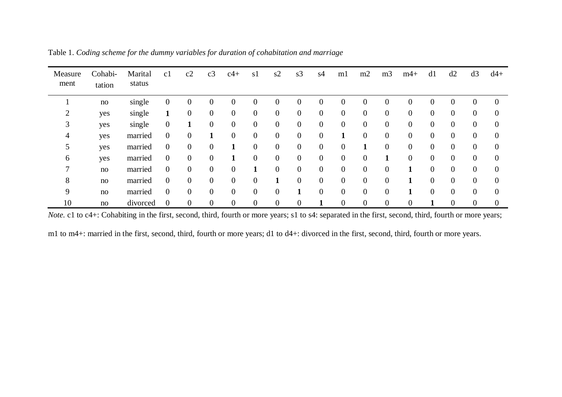| Measure<br>ment | Cohabi-<br>tation | Marital<br>status | c1               | c2               | c <sub>3</sub>   | $c4+$            | s1               | s2               | s <sub>3</sub> | s <sub>4</sub>   | ml               | m2               | m <sub>3</sub> | $m4+$          | d1             | d2             | d3               | $d4+$    |
|-----------------|-------------------|-------------------|------------------|------------------|------------------|------------------|------------------|------------------|----------------|------------------|------------------|------------------|----------------|----------------|----------------|----------------|------------------|----------|
|                 |                   |                   |                  |                  |                  |                  |                  |                  |                |                  |                  |                  |                |                |                |                |                  |          |
|                 | no                | single            | $\boldsymbol{0}$ | $\overline{0}$   | $\theta$         | $\boldsymbol{0}$ | $\overline{0}$   | $\overline{0}$   | 0              | $\overline{0}$   | $\boldsymbol{0}$ | $\theta$         | $\overline{0}$ | $\overline{0}$ | $\theta$       | $\mathbf{0}$   | $\overline{0}$   | $\theta$ |
| ↑               | yes               | single            |                  | $\boldsymbol{0}$ | $\overline{0}$   | $\boldsymbol{0}$ | $\overline{0}$   | $\overline{0}$   | $\overline{0}$ | $\boldsymbol{0}$ | $\boldsymbol{0}$ | $\boldsymbol{0}$ | $\overline{0}$ | $\overline{0}$ | $\mathbf{0}$   | $\overline{0}$ | $\boldsymbol{0}$ |          |
| 3               | yes               | single            | $\overline{0}$   |                  | $\mathbf{0}$     | $\boldsymbol{0}$ | $\overline{0}$   | $\boldsymbol{0}$ | $\overline{0}$ | $\boldsymbol{0}$ | $\boldsymbol{0}$ | $\boldsymbol{0}$ | $\overline{0}$ | $\overline{0}$ | $\overline{0}$ | $\overline{0}$ | $\overline{0}$   |          |
| 4               | yes               | married           | $\overline{0}$   | $\overline{0}$   |                  | $\boldsymbol{0}$ | $\mathbf{0}$     | $\overline{0}$   | $\overline{0}$ | $\overline{0}$   |                  | $\boldsymbol{0}$ | $\overline{0}$ | $\overline{0}$ | $\overline{0}$ | $\overline{0}$ | $\overline{0}$   | 0        |
|                 | yes               | married           | $\overline{0}$   | $\overline{0}$   | $\boldsymbol{0}$ |                  | $\overline{0}$   | $\overline{0}$   | $\overline{0}$ | $\boldsymbol{0}$ | $\overline{0}$   | 1                | $\overline{0}$ | $\overline{0}$ | $\overline{0}$ | $\overline{0}$ | $\overline{0}$   | 0        |
| 6               | yes               | married           | $\mathbf{0}$     | $\overline{0}$   | $\overline{0}$   | 1                | $\boldsymbol{0}$ | $\overline{0}$   | $\overline{0}$ | $\overline{0}$   | $\overline{0}$   | $\overline{0}$   |                | $\overline{0}$ | $\overline{0}$ | $\overline{0}$ | $\overline{0}$   |          |
|                 | no                | married           | $\mathbf{0}$     | $\overline{0}$   | $\boldsymbol{0}$ | $\boldsymbol{0}$ | 1                | $\overline{0}$   | $\overline{0}$ | $\boldsymbol{0}$ | $\overline{0}$   | $\boldsymbol{0}$ | $\overline{0}$ |                | $\overline{0}$ | $\overline{0}$ | $\overline{0}$   |          |
| 8               | no                | married           | $\overline{0}$   | $\overline{0}$   | $\overline{0}$   | $\overline{0}$   | $\mathbf{0}$     | 1                | $\overline{0}$ | $\overline{0}$   | $\overline{0}$   | $\mathbf{0}$     | $\overline{0}$ |                | $\overline{0}$ | $\overline{0}$ | $\overline{0}$   |          |
| 9               | no                | married           | $\overline{0}$   | $\overline{0}$   | $\boldsymbol{0}$ | $\boldsymbol{0}$ | $\mathbf{0}$     | $\overline{0}$   |                | $\overline{0}$   | $\boldsymbol{0}$ | $\boldsymbol{0}$ | $\overline{0}$ |                | $\overline{0}$ | $\mathbf{0}$   | $\boldsymbol{0}$ | 0        |
| 10              | no                | divorced          | $\overline{0}$   | 0                | $\theta$         | $\boldsymbol{0}$ | $\boldsymbol{0}$ | $\overline{0}$   |                |                  | $\overline{0}$   | $\overline{0}$   | 0              |                |                | $\overline{0}$ | 0                |          |

Table 1. *Coding scheme for the dummy variables for duration of cohabitation and marriage*

*Note.* c1 to c4+: Cohabiting in the first, second, third, fourth or more years; s1 to s4: separated in the first, second, third, fourth or more years;

m1 to m4+: married in the first, second, third, fourth or more years; d1 to d4+: divorced in the first, second, third, fourth or more years.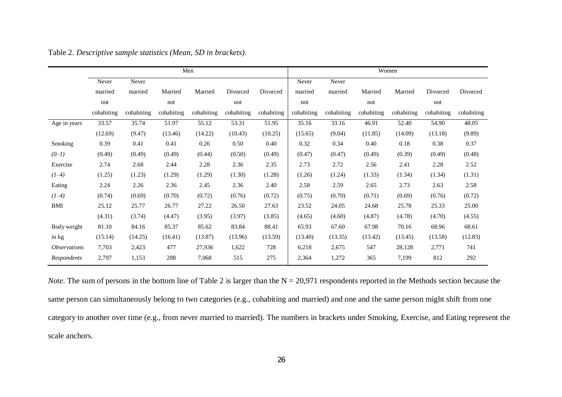|                            | Men        |            |            |            |            |            |            | Women      |            |            |            |            |  |  |
|----------------------------|------------|------------|------------|------------|------------|------------|------------|------------|------------|------------|------------|------------|--|--|
|                            | Never      | Never      |            |            |            |            | Never      | Never      |            |            |            |            |  |  |
|                            | married    | married    | Married    | Married    | Divorced   | Divorced   | married    | married    | Married    | Married    | Divorced   | Divorced   |  |  |
|                            | not        |            | not        |            | not        |            | not        |            | not        |            | not        |            |  |  |
|                            | cohabiting | cohabiting | cohabiting | cohabiting | cohabiting | cohabiting | cohabiting | cohabiting | cohabiting | cohabiting | cohabiting | cohabiting |  |  |
| Age in years               | 33.57      | 35.74      | 51.97      | 55.12      | 53.31      | 51.95      | 35.16      | 33.16      | 46.91      | 52.40      | 54.90      | 48.05      |  |  |
|                            | (12.69)    | (9.47)     | (13.46)    | (14.22)    | (10.43)    | (10.25)    | (15.65)    | (9.04)     | (11.85)    | (14.09)    | (13.18)    | (9.89)     |  |  |
| Smoking                    | 0.39       | 0.41       | 0.41       | 0.26       | 0.50       | 0.40       | 0.32       | 0.34       | 0.40       | 0.18       | 0.38       | 0.37       |  |  |
| $(0-1)$                    | (0.49)     | (0.49)     | (0.49)     | (0.44)     | (0.50)     | (0.49)     | (0.47)     | (0.47)     | (0.49)     | (0.39)     | (0.49)     | (0.48)     |  |  |
| Exercise                   | 2.74       | 2.68       | 2.44       | 2.28       | 2.36       | 2.35       | 2.73       | 2.72       | 2.56       | 2.41       | 2.28       | 2.52       |  |  |
| $(1-4)$                    | (1.25)     | (1.23)     | (1.29)     | (1.29)     | (1.30)     | (1.28)     | (1.26)     | (1.24)     | (1.33)     | (1.34)     | (1.34)     | (1.31)     |  |  |
| Eating                     | 2.24       | 2.26       | 2.36       | 2.45       | 2.36       | 2.40       | 2.58       | 2.59       | 2.65       | 2.73       | 2.63       | 2.58       |  |  |
| $(1-4)$                    | (0.74)     | (0.69)     | (0.70)     | (0.72)     | (0.76)     | (0.72)     | (0.75)     | (0.70)     | (0.71)     | (0.69)     | (0.76)     | (0.72)     |  |  |
| <b>BMI</b>                 | 25.12      | 25.77      | 26.77      | 27.22      | 26.50      | 27.63      | 23.52      | 24.05      | 24.68      | 25.78      | 25.33      | 25.00      |  |  |
|                            | (4.31)     | (3.74)     | (4.47)     | (3.95)     | (3.97)     | (3.85)     | (4.65)     | (4.60)     | (4.87)     | (4.78)     | (4.70)     | (4.55)     |  |  |
| Body weight                | 81.10      | 84.16      | 85.37      | 85.62      | 83.84      | 88.41      | 65.93      | 67.60      | 67.98      | 70.16      | 68.96      | 68.61      |  |  |
| in kg                      | (15.14)    | (14.25)    | (16.41)    | (13.87)    | (13.96)    | (13.59)    | (13.40)    | (13.35)    | (13.42)    | (13.45)    | (13.58)    | (12.83)    |  |  |
| <i><b>Observations</b></i> | 7,703      | 2,423      | 477        | 27,936     | 1,622      | 728        | 6,218      | 2,675      | 547        | 28,128     | 2,771      | 741        |  |  |
| Respondents                | 2,797      | 1,153      | 288        | 7,068      | 515        | 275        | 2,364      | 1,272      | 365        | 7,199      | 812        | 292        |  |  |

Table 2. *Descriptive sample statistics (Mean, SD in brackets).*

*Note*. The sum of persons in the bottom line of Table 2 is larger than the  $N = 20,971$  respondents reported in the Methods section because the same person can simultaneously belong to two categories (e.g., cohabiting and married) and one and the same person might shift from one category to another over time (e.g., from never married to married). The numbers in brackets under Smoking, Exercise, and Eating represent the scale anchors.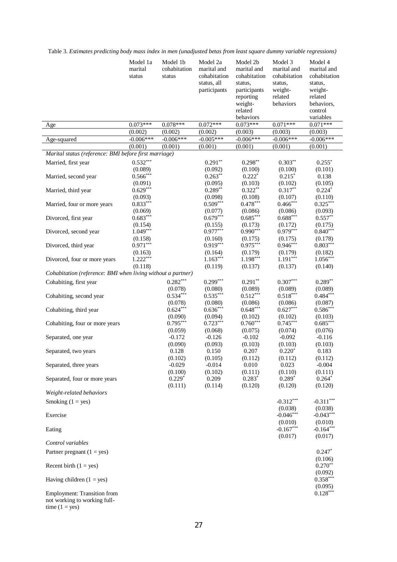|                                                             | Model 1a<br>marital<br>status | Model 1b<br>cohabitation<br>status | Model 2a<br>marital and<br>cohabitation<br>status, all<br>participants | Model 2b<br>marital and<br>cohabitation<br>status,<br>participants<br>reporting | Model 3<br>marital and<br>cohabitation<br>status,<br>weight-<br>related | Model 4<br>marital and<br>cohabitation<br>status,<br>weight-<br>related |
|-------------------------------------------------------------|-------------------------------|------------------------------------|------------------------------------------------------------------------|---------------------------------------------------------------------------------|-------------------------------------------------------------------------|-------------------------------------------------------------------------|
|                                                             |                               |                                    |                                                                        | weight-<br>related<br>behaviors                                                 | behaviors                                                               | behaviors,<br>control<br>variables                                      |
| Age                                                         | $0.073***$                    | $0.078***$                         | $0.072***$                                                             | $0.073***$                                                                      | $0.071***$                                                              | $0.071***$                                                              |
|                                                             | (0.002)                       | (0.002)                            | (0.002)                                                                | (0.003)                                                                         | (0.003)                                                                 | (0.003)                                                                 |
| Age-squared                                                 | $-0.006***$                   | $-0.006***$                        | $-0.005***$                                                            | $-0.006***$                                                                     | $-0.006***$                                                             | $-0.006***$                                                             |
| Marital status (reference: BMI before first marriage)       | (0.001)                       | (0.001)                            | (0.001)                                                                | (0.001)                                                                         | (0.001)                                                                 | (0.001)                                                                 |
|                                                             | $0.532***$                    |                                    |                                                                        |                                                                                 |                                                                         |                                                                         |
| Married, first year                                         | (0.089)                       |                                    | $0.291**$<br>(0.092)                                                   | $0.298**$<br>(0.100)                                                            | $0.303**$<br>(0.100)                                                    | $0.255*$<br>(0.101)                                                     |
| Married, second year                                        | $0.566***$                    |                                    | $0.263**$                                                              | $0.222*$                                                                        | $0.215*$                                                                | 0.138                                                                   |
|                                                             | (0.091)                       |                                    | (0.095)                                                                | (0.103)                                                                         | (0.102)                                                                 | (0.105)                                                                 |
| Married, third year                                         | $0.629***$                    |                                    | $0.289**$                                                              | $0.322**$                                                                       | $0.317**$                                                               | $0.224*$                                                                |
|                                                             | (0.093)                       |                                    | (0.098)                                                                | (0.108)                                                                         | (0.107)                                                                 | (0.110)                                                                 |
| Married, four or more years                                 | $0.833***$                    |                                    | $0.509***$                                                             | $0.478***$                                                                      | $0.466***$                                                              | $0.325***$                                                              |
|                                                             | (0.069)<br>$0.683***$         |                                    | (0.077)<br>$0.679***$                                                  | (0.086)<br>$0.685***$                                                           | (0.086)<br>$0.688***$                                                   | (0.093)<br>$0.557**$                                                    |
| Divorced, first year                                        | (0.154)                       |                                    | (0.155)                                                                | (0.173)                                                                         | (0.172)                                                                 | (0.175)                                                                 |
| Divorced, second year                                       | $1.049***$                    |                                    | $0.977***$                                                             | $0.990***$                                                                      | $0.979***$                                                              | $0.840***$                                                              |
|                                                             | (0.158)                       |                                    | (0.160)                                                                | (0.175)                                                                         | (0.175)                                                                 | (0.178)                                                                 |
| Divorced, third year                                        | $0.971***$                    |                                    | $0.919***$                                                             | $0.975***$                                                                      | $0.946***$                                                              | $0.803***$                                                              |
|                                                             | (0.163)                       |                                    | (0.164)                                                                | (0.179)                                                                         | (0.179)                                                                 | (0.182)                                                                 |
| Divorced, four or more years                                | $1.222***$                    |                                    | $1.163***$                                                             | $1.198***$                                                                      | $1.191***$                                                              | $1.056***$                                                              |
|                                                             | (0.118)                       |                                    | (0.119)                                                                | (0.137)                                                                         | (0.137)                                                                 | (0.140)                                                                 |
| Cohabitation (reference: BMI when living without a partner) |                               |                                    |                                                                        |                                                                                 |                                                                         |                                                                         |
| Cohabiting, first year                                      |                               | $0.282***$                         | $0.299***$                                                             | $0.291**$                                                                       | $0.307***$                                                              | $0.289**$                                                               |
| Cohabiting, second year                                     |                               | (0.078)<br>$0.534***$              | (0.080)<br>$0.535***$                                                  | (0.089)<br>$0.512***$                                                           | (0.089)<br>$0.518***$                                                   | (0.089)<br>$0.484***$                                                   |
|                                                             |                               | (0.078)                            | (0.080)                                                                | (0.086)                                                                         | (0.086)                                                                 | (0.087)                                                                 |
| Cohabiting, third year                                      |                               | $0.624***$                         | $0.636***$                                                             | $0.648***$                                                                      | $0.627***$                                                              | $0.586***$                                                              |
|                                                             |                               | (0.090)                            | (0.094)                                                                | (0.102)                                                                         | (0.102)                                                                 | (0.103)                                                                 |
| Cohabiting, four or more years                              |                               | $0.795***$                         | $0.723***$                                                             | $0.760***$                                                                      | $0.745***$                                                              | $0.685***$                                                              |
|                                                             |                               | (0.059)                            | (0.068)                                                                | (0.075)                                                                         | (0.074)                                                                 | (0.076)                                                                 |
| Separated, one year                                         |                               | $-0.172$                           | $-0.126$                                                               | $-0.102$                                                                        | $-0.092$                                                                | $-0.116$                                                                |
|                                                             |                               | (0.090)                            | (0.093)<br>0.150                                                       | (0.103)                                                                         | (0.103)                                                                 | (0.103)                                                                 |
| Separated, two years                                        |                               | 0.128<br>(0.102)                   | (0.105)                                                                | 0.207<br>(0.112)                                                                | $0.220*$<br>(0.112)                                                     | 0.183<br>(0.112)                                                        |
| Separated, three years                                      |                               | $-0.029$                           | $-0.014$                                                               | 0.010                                                                           | 0.023                                                                   | $-0.004$                                                                |
|                                                             |                               | (0.100)                            | (0.102)                                                                | (0.111)                                                                         | (0.110)                                                                 | (0.111)                                                                 |
| Separated, four or more years                               |                               | $0.229*$                           | 0.209                                                                  | $0.283*$                                                                        | $0.289*$                                                                | $0.264*$                                                                |
|                                                             |                               | (0.111)                            | (0.114)                                                                | (0.120)                                                                         | (0.120)                                                                 | (0.120)                                                                 |
| Weight-related behaviors                                    |                               |                                    |                                                                        |                                                                                 |                                                                         |                                                                         |
| Smoking $(1 = yes)$                                         |                               |                                    |                                                                        |                                                                                 | $-0.312***$                                                             | $-0.311***$                                                             |
|                                                             |                               |                                    |                                                                        |                                                                                 | (0.038)                                                                 | (0.038)                                                                 |
| Exercise                                                    |                               |                                    |                                                                        |                                                                                 | $-0.046***$<br>(0.010)                                                  | $-0.043***$<br>(0.010)                                                  |
| Eating                                                      |                               |                                    |                                                                        |                                                                                 | $-0.167***$                                                             | $-0.164***$                                                             |
|                                                             |                               |                                    |                                                                        |                                                                                 | (0.017)                                                                 | (0.017)                                                                 |
| Control variables                                           |                               |                                    |                                                                        |                                                                                 |                                                                         |                                                                         |
| Partner pregnant $(1 = yes)$                                |                               |                                    |                                                                        |                                                                                 |                                                                         | $0.247*$                                                                |
|                                                             |                               |                                    |                                                                        |                                                                                 |                                                                         | (0.106)                                                                 |
| Recent birth $(1 = yes)$                                    |                               |                                    |                                                                        |                                                                                 |                                                                         | $0.270**$                                                               |
|                                                             |                               |                                    |                                                                        |                                                                                 |                                                                         | (0.092)                                                                 |
| Having children $(1 = yes)$                                 |                               |                                    |                                                                        |                                                                                 |                                                                         | $0.358***$                                                              |
| <b>Employment: Transition from</b>                          |                               |                                    |                                                                        |                                                                                 |                                                                         | (0.095)<br>$0.128***$                                                   |
| not working to working full-                                |                               |                                    |                                                                        |                                                                                 |                                                                         |                                                                         |

Table 3. *Estimates predicting body mass index in men (unadjusted betas from least square dummy variable regressions)*

time  $(1 = yes)$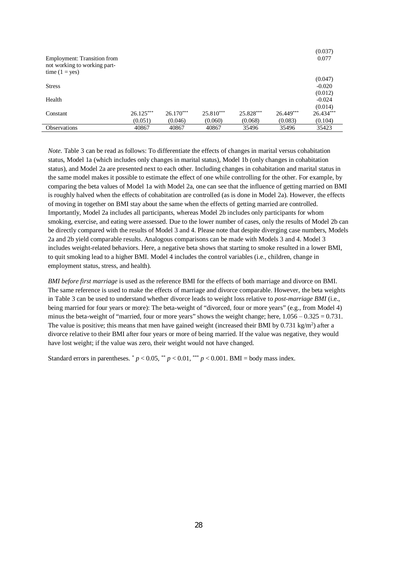| <b>Employment: Transition from</b><br>not working to working part-<br>time $(1 = yes)$ |             |             |             |           |             | (0.037)<br>0.077 |
|----------------------------------------------------------------------------------------|-------------|-------------|-------------|-----------|-------------|------------------|
|                                                                                        |             |             |             |           |             | (0.047)          |
| <b>Stress</b>                                                                          |             |             |             |           |             | $-0.020$         |
|                                                                                        |             |             |             |           |             | (0.012)          |
| Health                                                                                 |             |             |             |           |             | $-0.024$         |
|                                                                                        |             |             |             |           |             | (0.014)          |
| Constant                                                                               | $26.125***$ | $26.170***$ | $25.810***$ | 25.828*** | $26.449***$ | $26.434***$      |
|                                                                                        | (0.051)     | (0.046)     | (0.060)     | (0.068)   | (0.083)     | (0.104)          |
| <b>Observations</b>                                                                    | 40867       | 40867       | 40867       | 35496     | 35496       | 35423            |

*Note.* Table 3 can be read as follows: To differentiate the effects of changes in marital versus cohabitation status, Model 1a (which includes only changes in marital status), Model 1b (only changes in cohabitation status), and Model 2a are presented next to each other. Including changes in cohabitation and marital status in the same model makes it possible to estimate the effect of one while controlling for the other. For example, by comparing the beta values of Model 1a with Model 2a, one can see that the influence of getting married on BMI is roughly halved when the effects of cohabitation are controlled (as is done in Model 2a). However, the effects of moving in together on BMI stay about the same when the effects of getting married are controlled. Importantly, Model 2a includes all participants, whereas Model 2b includes only participants for whom smoking, exercise, and eating were assessed. Due to the lower number of cases, only the results of Model 2b can be directly compared with the results of Model 3 and 4. Please note that despite diverging case numbers, Models 2a and 2b yield comparable results. Analogous comparisons can be made with Models 3 and 4. Model 3 includes weight-related behaviors. Here, a negative beta shows that starting to smoke resulted in a lower BMI, to quit smoking lead to a higher BMI. Model 4 includes the control variables (i.e., children, change in employment status, stress, and health).

*BMI before first marriage* is used as the reference BMI for the effects of both marriage and divorce on BMI. The same reference is used to make the effects of marriage and divorce comparable. However, the beta weights in Table 3 can be used to understand whether divorce leads to weight loss relative to *post-marriage BMI* (i.e., being married for four years or more): The beta-weight of "divorced, four or more years" (e.g., from Model 4) minus the beta-weight of "married, four or more years" shows the weight change; here,  $1.056 - 0.325 = 0.731$ . The value is positive; this means that men have gained weight (increased their BMI by  $0.731 \text{ kg/m}^2$ ) after a divorce relative to their BMI after four years or more of being married. If the value was negative, they would have lost weight; if the value was zero, their weight would not have changed.

Standard errors in parentheses.  $p < 0.05$ ,  $p < 0.01$ ,  $p < 0.001$ . BMI = body mass index.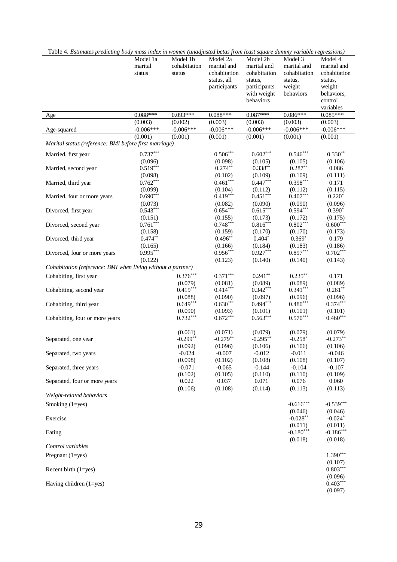| Table 4. Estimates predicting body mass index in women (unadjusted betas from least square dummy variable regressions) |                        |                       |                        |                        |                        |                        |
|------------------------------------------------------------------------------------------------------------------------|------------------------|-----------------------|------------------------|------------------------|------------------------|------------------------|
|                                                                                                                        | $\overline{M}$ odel 1a | Model 1b              | Model 2a               | Model 2b               | Model 3                | Model 4                |
|                                                                                                                        | marital                | cohabitation          | marital and            | marital and            | marital and            | marital and            |
|                                                                                                                        | status                 | status                | cohabitation           | cohabitation           | cohabitation           | cohabitation           |
|                                                                                                                        |                        |                       | status, all            | status,                | status,                | status,                |
|                                                                                                                        |                        |                       | participants           | participants           | weight                 | weight                 |
|                                                                                                                        |                        |                       |                        | with weight            | behaviors              | behaviors,             |
|                                                                                                                        |                        |                       |                        | behaviors              |                        | control<br>variables   |
|                                                                                                                        |                        |                       |                        | $0.087***$             |                        | $0.085***$             |
| Age                                                                                                                    | $0.088***$<br>(0.003)  | $0.093***$<br>(0.002) | $0.088***$             |                        | $0.086***$             |                        |
|                                                                                                                        | $-0.006***$            | $-0.006***$           | (0.003)<br>$-0.006***$ | (0.003)<br>$-0.006***$ | (0.003)<br>$-0.006***$ | (0.003)<br>$-0.006***$ |
| Age-squared                                                                                                            | (0.001)                | (0.001)               | (0.001)                | (0.001)                | (0.001)                | (0.001)                |
| Marital status (reference: BMI before first marriage)                                                                  |                        |                       |                        |                        |                        |                        |
|                                                                                                                        |                        |                       |                        |                        |                        |                        |
| Married, first year                                                                                                    | $0.737***$             |                       | $0.506***$             | $0.602***$             | $0.546***$             | $0.330**$              |
|                                                                                                                        | (0.096)                |                       | (0.098)                | (0.105)                | (0.105)                | (0.106)                |
| Married, second year                                                                                                   | $0.519***$             |                       | $0.274***$             | $0.338**$              | $0.287**$              | 0.086                  |
|                                                                                                                        | (0.098)                |                       | (0.102)                | (0.109)                | (0.109)                | (0.111)                |
| Married, third year                                                                                                    | $0.762***$             |                       | $0.461***$             | $0.447***$             | $0.398***$             | 0.171                  |
|                                                                                                                        | (0.099)                |                       | (0.104)                | (0.112)                | (0.112)                | (0.115)                |
| Married, four or more years                                                                                            | $0.690***$             |                       | $0.419***$             | $0.451***$             | $0.407***$             | $0.220*$               |
|                                                                                                                        | (0.073)                |                       | (0.082)                | (0.090)                | (0.090)                | (0.096)                |
| Divorced, first year                                                                                                   | $0.543***$             |                       | $0.654***$             | $0.615***$             | $0.594***$             | $0.390*$               |
|                                                                                                                        | (0.151)                |                       | (0.155)                | (0.173)                | (0.172)                | (0.175)                |
| Divorced, second year                                                                                                  | $0.761***$             |                       | $0.748***$             | $0.816***$             | $0.802***$             | $0.600***$             |
| Divorced, third year                                                                                                   | (0.158)                |                       | (0.159)                | (0.170)                | (0.170)                | (0.173)                |
|                                                                                                                        | $0.474**$              |                       | $0.496**$              | $0.404*$               | $0.369*$               | 0.179                  |
|                                                                                                                        | (0.165)<br>$0.995***$  |                       | (0.166)                | (0.184)                | (0.183)                | (0.186)                |
| Divorced, four or more years                                                                                           |                        |                       | $0.956***$             | $0.927***$             | $0.897***$             | $0.702***$             |
|                                                                                                                        | (0.122)                |                       | (0.123)                | (0.140)                | (0.140)                | (0.143)                |
| Cohabitation (reference: BMI when living without a partner)                                                            |                        |                       |                        |                        |                        |                        |
| Cohabiting, first year                                                                                                 |                        | $0.376***$            | $0.371***$             | $0.241**$              | $0.235***$             | 0.171                  |
|                                                                                                                        |                        | (0.079)               | (0.081)                | (0.089)                | (0.089)                | (0.089)                |
| Cohabiting, second year                                                                                                |                        | $0.419***$            | $0.414***$             | $0.342***$             | $0.341***$             | $0.261**$              |
|                                                                                                                        |                        | (0.088)               | (0.090)                | (0.097)                | (0.096)                | (0.096)                |
| Cohabiting, third year                                                                                                 |                        | $0.649***$            | $0.630***$             | $0.494***$             | $0.480***$             | $0.374***$             |
|                                                                                                                        |                        | (0.090)               | (0.093)                | (0.101)                | (0.101)                | (0.101)                |
| Cohabiting, four or more years                                                                                         |                        | $0.732***$            | $0.672***$             | $0.563***$             | $0.570***$             | $0.460***$             |
|                                                                                                                        |                        |                       |                        |                        |                        |                        |
|                                                                                                                        |                        | (0.061)               | (0.071)                | (0.079)                | (0.079)                | (0.079)                |
| Separated, one year                                                                                                    |                        | $-0.299**$            | $-0.279**$             | $-0.295***$            | $-0.258*$              | $-0.273**$             |
|                                                                                                                        |                        | (0.092)               | (0.096)                | (0.106)                | (0.106)                | (0.106)                |
| Separated, two years                                                                                                   |                        | $-0.024$              | $-0.007$               | $-0.012$               | $-0.011$               | $-0.046$               |
|                                                                                                                        |                        | (0.098)               | (0.102)                | (0.108)                | (0.108)                | (0.107)                |
| Separated, three years                                                                                                 |                        | $-0.071$<br>(0.102)   | $-0.065$               | $-0.144$               | $-0.104$<br>(0.110)    | $-0.107$               |
| Separated, four or more years                                                                                          |                        | 0.022                 | (0.105)<br>0.037       | (0.110)<br>0.071       | 0.076                  | (0.109)<br>0.060       |
|                                                                                                                        |                        | (0.106)               |                        | (0.114)                |                        |                        |
| Weight-related behaviors                                                                                               |                        |                       | (0.108)                |                        | (0.113)                | (0.113)                |
|                                                                                                                        |                        |                       |                        |                        |                        |                        |
| Smoking $(1 = yes)$                                                                                                    |                        |                       |                        |                        | $-0.616***$            | $-0.539***$            |
|                                                                                                                        |                        |                       |                        |                        | (0.046)                | (0.046)                |
| Exercise                                                                                                               |                        |                       |                        |                        | $-0.028**$             | $-0.024*$              |
|                                                                                                                        |                        |                       |                        |                        | (0.011)                | (0.011)                |
| Eating                                                                                                                 |                        |                       |                        |                        | $-0.180***$            | $-0.186***$            |
|                                                                                                                        |                        |                       |                        |                        | (0.018)                | (0.018)                |
| Control variables                                                                                                      |                        |                       |                        |                        |                        |                        |
| Pregnant $(1 = yes)$                                                                                                   |                        |                       |                        |                        |                        | $1.390***$             |
|                                                                                                                        |                        |                       |                        |                        |                        | (0.107)                |
| Recent birth (1=yes)                                                                                                   |                        |                       |                        |                        |                        | $0.803***$             |
|                                                                                                                        |                        |                       |                        |                        |                        | (0.096)                |
| Having children (1=yes)                                                                                                |                        |                       |                        |                        |                        | $0.403***$             |
|                                                                                                                        |                        |                       |                        |                        |                        | (0.097)                |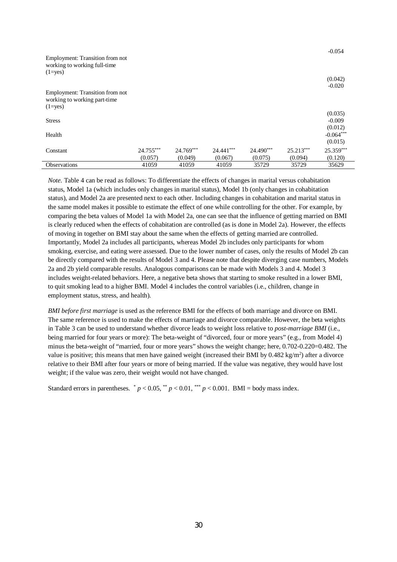| Employment: Transition from not<br>working to working full-time<br>$(1 = yes)$ |                      |                        |                        |                      |                        | $-0.054$<br>(0.042)             |
|--------------------------------------------------------------------------------|----------------------|------------------------|------------------------|----------------------|------------------------|---------------------------------|
| Employment: Transition from not<br>working to working part-time<br>$(1 = yes)$ |                      |                        |                        |                      |                        | $-0.020$                        |
| <b>Stress</b>                                                                  |                      |                        |                        |                      |                        | (0.035)<br>$-0.009$             |
|                                                                                |                      |                        |                        |                      |                        | (0.012)                         |
| Health                                                                         |                      |                        |                        |                      |                        | $-0.064***$                     |
| Constant                                                                       | 24.755***<br>(0.057) | $24.769***$<br>(0.049) | $24.441***$<br>(0.067) | 24.490***<br>(0.075) | $25.213***$<br>(0.094) | (0.015)<br>25.359***<br>(0.120) |
| <b>Observations</b>                                                            | 41059                | 41059                  | 41059                  | 35729                | 35729                  | 35629                           |

*Note.* Table 4 can be read as follows: To differentiate the effects of changes in marital versus cohabitation status, Model 1a (which includes only changes in marital status), Model 1b (only changes in cohabitation status), and Model 2a are presented next to each other. Including changes in cohabitation and marital status in the same model makes it possible to estimate the effect of one while controlling for the other. For example, by comparing the beta values of Model 1a with Model 2a, one can see that the influence of getting married on BMI is clearly reduced when the effects of cohabitation are controlled (as is done in Model 2a). However, the effects of moving in together on BMI stay about the same when the effects of getting married are controlled. Importantly, Model 2a includes all participants, whereas Model 2b includes only participants for whom smoking, exercise, and eating were assessed. Due to the lower number of cases, only the results of Model 2b can be directly compared with the results of Model 3 and 4. Please note that despite diverging case numbers, Models 2a and 2b yield comparable results. Analogous comparisons can be made with Models 3 and 4. Model 3 includes weight-related behaviors. Here, a negative beta shows that starting to smoke resulted in a lower BMI, to quit smoking lead to a higher BMI. Model 4 includes the control variables (i.e., children, change in employment status, stress, and health).

*BMI before first marriage* is used as the reference BMI for the effects of both marriage and divorce on BMI. The same reference is used to make the effects of marriage and divorce comparable. However, the beta weights in Table 3 can be used to understand whether divorce leads to weight loss relative to *post-marriage BMI* (i.e., being married for four years or more): The beta-weight of "divorced, four or more years" (e.g., from Model 4) minus the beta-weight of "married, four or more years" shows the weight change; here, 0.702-0.220=0.482. The value is positive; this means that men have gained weight (increased their BMI by  $0.482 \text{ kg/m}^2$ ) after a divorce relative to their BMI after four years or more of being married. If the value was negative, they would have lost weight; if the value was zero, their weight would not have changed.

Standard errors in parentheses.  $p < 0.05$ ,  $p < 0.01$ ,  $p < 0.001$ . BMI = body mass index.